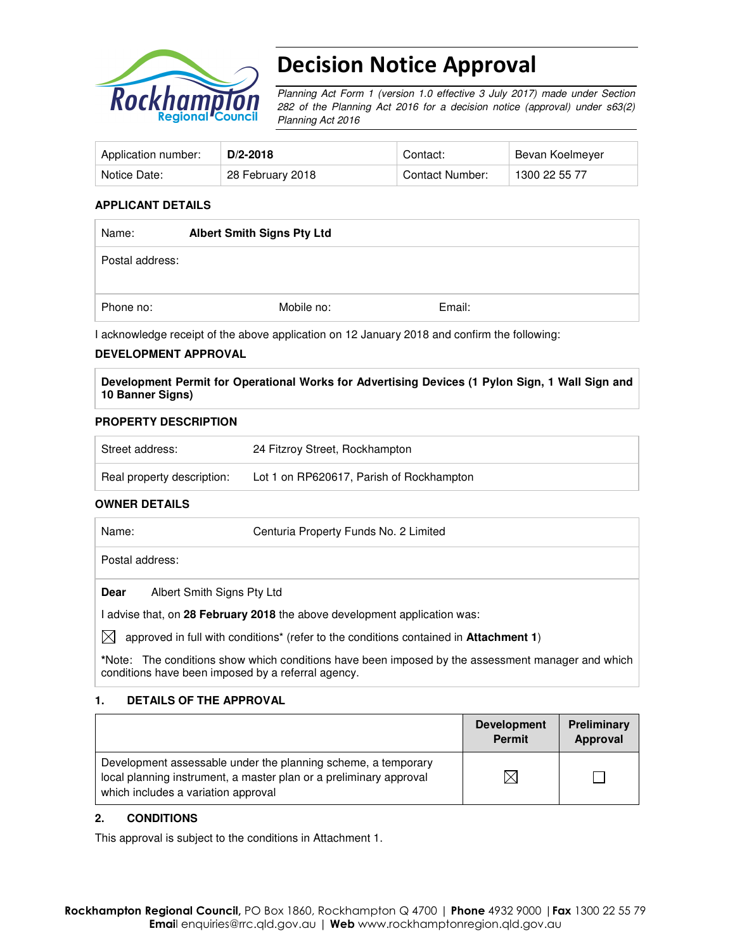

# Decision Notice Approval

Planning Act Form 1 (version 1.0 effective 3 July 2017) made under Section 282 of the Planning Act 2016 for a decision notice (approval) under s63(2) Planning Act 2016

| Application number: | $D/2 - 2018$     | Contact:        | Bevan Koelmeyer |
|---------------------|------------------|-----------------|-----------------|
| Notice Date:        | 28 February 2018 | Contact Number: | 1300 22 55 77   |

## **APPLICANT DETAILS**

| Name:           | <b>Albert Smith Signs Pty Ltd</b> |        |  |
|-----------------|-----------------------------------|--------|--|
| Postal address: |                                   |        |  |
| Phone no:       | Mobile no:                        | Email: |  |

I acknowledge receipt of the above application on 12 January 2018 and confirm the following:

### **DEVELOPMENT APPROVAL**

**Development Permit for Operational Works for Advertising Devices (1 Pylon Sign, 1 Wall Sign and 10 Banner Signs)** 

### **PROPERTY DESCRIPTION**

| Street address:            | 24 Fitzroy Street, Rockhampton           |
|----------------------------|------------------------------------------|
| Real property description: | Lot 1 on RP620617, Parish of Rockhampton |

## **OWNER DETAILS**

| Name:           | Centuria Property Funds No. 2 Limited                                              |
|-----------------|------------------------------------------------------------------------------------|
| Postal address: |                                                                                    |
| Dear            | Albert Smith Signs Pty Ltd                                                         |
|                 | advise that, on 28 February 2018 the above development application was:            |
|                 | (t tagapusting the unit of the profit of the conditions contained in Attachment 1) |

 $\boxtimes$  approved in full with conditions<sup>\*</sup> (refer to the conditions contained in **Attachment 1**)

**\***Note:The conditions show which conditions have been imposed by the assessment manager and which conditions have been imposed by a referral agency.

## **1. DETAILS OF THE APPROVAL**

|                                                                                                                                                                            | <b>Development</b><br><b>Permit</b> | Preliminary<br>Approval |
|----------------------------------------------------------------------------------------------------------------------------------------------------------------------------|-------------------------------------|-------------------------|
| Development assessable under the planning scheme, a temporary<br>local planning instrument, a master plan or a preliminary approval<br>which includes a variation approval |                                     |                         |

## **2. CONDITIONS**

This approval is subject to the conditions in Attachment 1.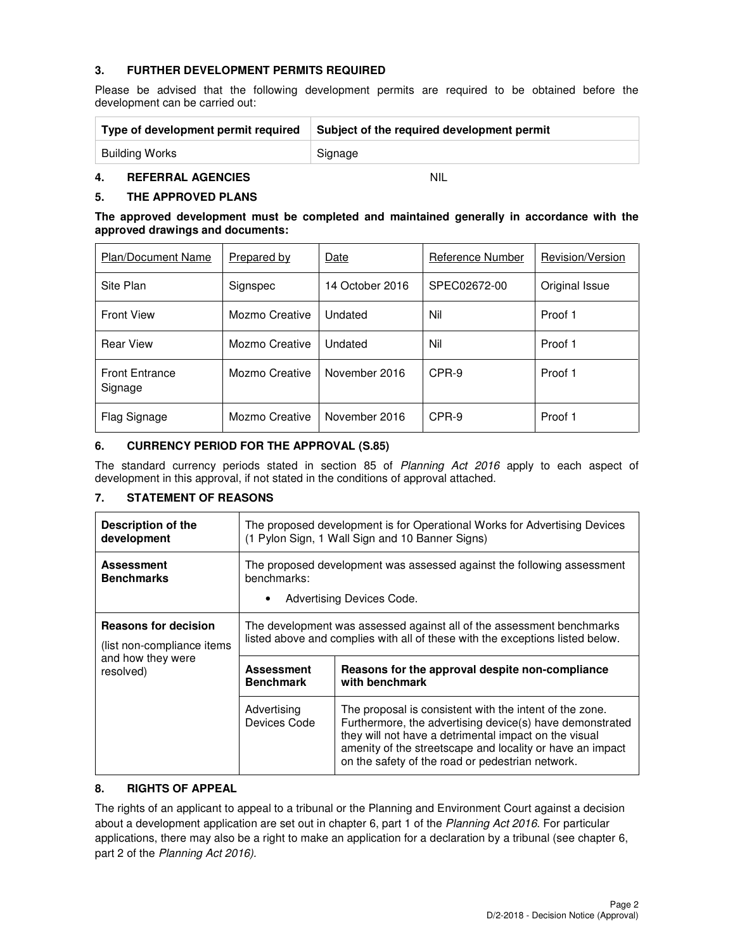## **3. FURTHER DEVELOPMENT PERMITS REQUIRED**

Please be advised that the following development permits are required to be obtained before the development can be carried out:

| Type of development permit required | Subject of the required development permit |
|-------------------------------------|--------------------------------------------|
| Building Works                      | Signage                                    |

## **4. REFERRAL AGENCIES** NIL

## **5. THE APPROVED PLANS**

**The approved development must be completed and maintained generally in accordance with the approved drawings and documents:** 

| <b>Plan/Document Name</b>        | Prepared by    | Date            | Reference Number | Revision/Version |
|----------------------------------|----------------|-----------------|------------------|------------------|
| Site Plan                        | Signspec       | 14 October 2016 | SPEC02672-00     | Original Issue   |
| <b>Front View</b>                | Mozmo Creative | Undated         | Nil              | Proof 1          |
| <b>Rear View</b>                 | Mozmo Creative | Undated         | Nil              | Proof 1          |
| <b>Front Entrance</b><br>Signage | Mozmo Creative | November 2016   | CPR-9            | Proof 1          |
| Flag Signage                     | Mozmo Creative | November 2016   | CPR-9            | Proof 1          |

## **6. CURRENCY PERIOD FOR THE APPROVAL (S.85)**

The standard currency periods stated in section 85 of Planning Act 2016 apply to each aspect of development in this approval, if not stated in the conditions of approval attached.

## **7. STATEMENT OF REASONS**

| Description of the                     | The proposed development is for Operational Works for Advertising Devices                                          |                                                                                                                                                                                                                                                                                               |  |
|----------------------------------------|--------------------------------------------------------------------------------------------------------------------|-----------------------------------------------------------------------------------------------------------------------------------------------------------------------------------------------------------------------------------------------------------------------------------------------|--|
| development                            | (1 Pylon Sign, 1 Wall Sign and 10 Banner Signs)                                                                    |                                                                                                                                                                                                                                                                                               |  |
| <b>Assessment</b><br><b>Benchmarks</b> | The proposed development was assessed against the following assessment<br>benchmarks:<br>Advertising Devices Code. |                                                                                                                                                                                                                                                                                               |  |
| <b>Reasons for decision</b>            | The development was assessed against all of the assessment benchmarks                                              |                                                                                                                                                                                                                                                                                               |  |
| (list non-compliance items)            | listed above and complies with all of these with the exceptions listed below.                                      |                                                                                                                                                                                                                                                                                               |  |
| and how they were                      | <b>Assessment</b>                                                                                                  | Reasons for the approval despite non-compliance                                                                                                                                                                                                                                               |  |
| resolved)                              | <b>Benchmark</b>                                                                                                   | with benchmark                                                                                                                                                                                                                                                                                |  |
|                                        | Advertising<br>Devices Code                                                                                        | The proposal is consistent with the intent of the zone.<br>Furthermore, the advertising device(s) have demonstrated<br>they will not have a detrimental impact on the visual<br>amenity of the streetscape and locality or have an impact<br>on the safety of the road or pedestrian network. |  |

## **8. RIGHTS OF APPEAL**

The rights of an applicant to appeal to a tribunal or the Planning and Environment Court against a decision about a development application are set out in chapter 6, part 1 of the Planning Act 2016. For particular applications, there may also be a right to make an application for a declaration by a tribunal (see chapter 6, part 2 of the Planning Act 2016).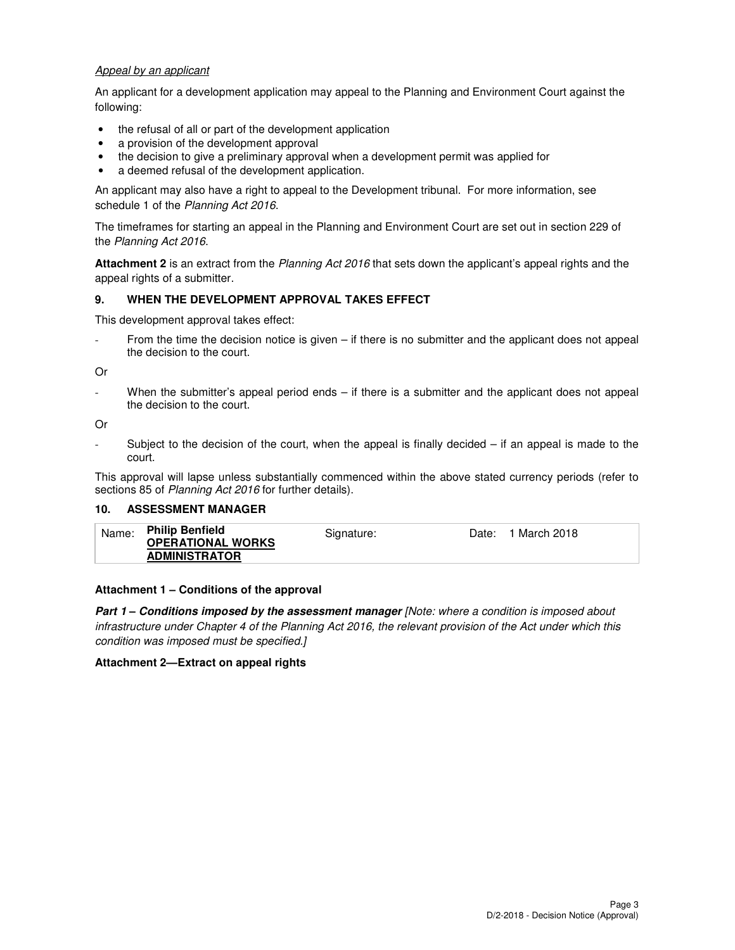### Appeal by an applicant

An applicant for a development application may appeal to the Planning and Environment Court against the following:

- the refusal of all or part of the development application
- a provision of the development approval
- the decision to give a preliminary approval when a development permit was applied for
- a deemed refusal of the development application.

An applicant may also have a right to appeal to the Development tribunal. For more information, see schedule 1 of the Planning Act 2016.

The timeframes for starting an appeal in the Planning and Environment Court are set out in section 229 of the Planning Act 2016.

**Attachment 2** is an extract from the Planning Act 2016 that sets down the applicant's appeal rights and the appeal rights of a submitter.

### **9. WHEN THE DEVELOPMENT APPROVAL TAKES EFFECT**

This development approval takes effect:

From the time the decision notice is given – if there is no submitter and the applicant does not appeal the decision to the court.

Or

When the submitter's appeal period ends – if there is a submitter and the applicant does not appeal the decision to the court.

Or

Subject to the decision of the court, when the appeal is finally decided  $-$  if an appeal is made to the court.

This approval will lapse unless substantially commenced within the above stated currency periods (refer to sections 85 of Planning Act 2016 for further details).

#### **10. ASSESSMENT MANAGER**

| <b>Philip Benfield</b><br>Name:<br><b>OPERATIONAL WORKS</b><br><b>ADMINISTRATOR</b> | Signature: | 1 March 2018<br>Date: |
|-------------------------------------------------------------------------------------|------------|-----------------------|
|-------------------------------------------------------------------------------------|------------|-----------------------|

#### **Attachment 1 – Conditions of the approval**

**Part 1 – Conditions imposed by the assessment manager** [Note: where a condition is imposed about infrastructure under Chapter 4 of the Planning Act 2016, the relevant provision of the Act under which this condition was imposed must be specified.]

#### **Attachment 2—Extract on appeal rights**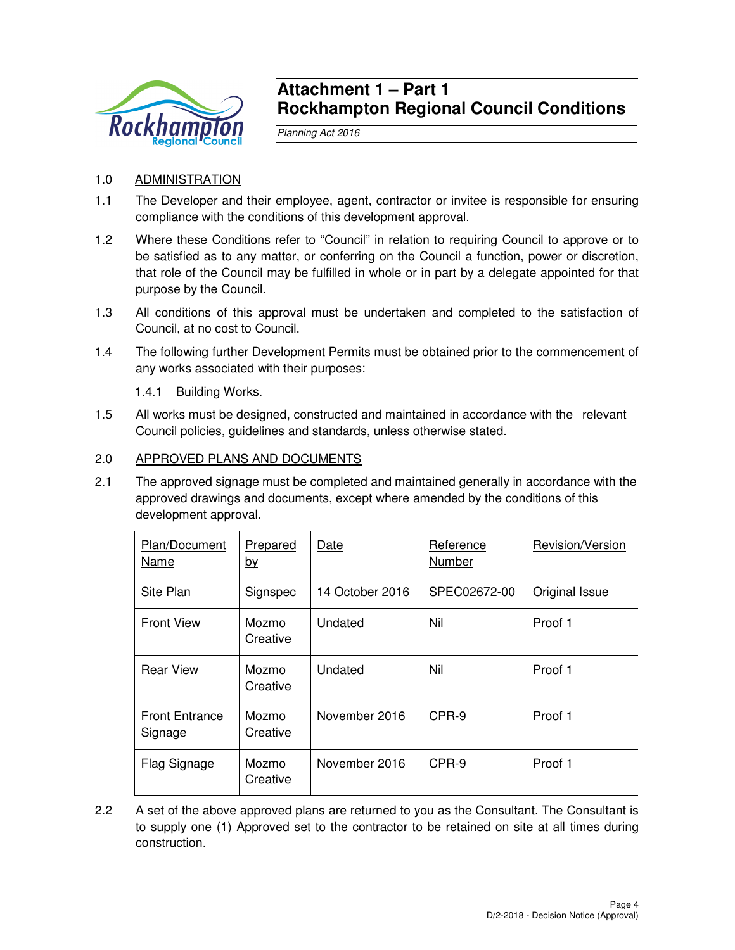

## **Attachment 1 – Part 1 Rockhampton Regional Council Conditions**

Planning Act 2016

## 1.0 ADMINISTRATION

- 1.1 The Developer and their employee, agent, contractor or invitee is responsible for ensuring compliance with the conditions of this development approval.
- 1.2 Where these Conditions refer to "Council" in relation to requiring Council to approve or to be satisfied as to any matter, or conferring on the Council a function, power or discretion, that role of the Council may be fulfilled in whole or in part by a delegate appointed for that purpose by the Council.
- 1.3 All conditions of this approval must be undertaken and completed to the satisfaction of Council, at no cost to Council.
- 1.4 The following further Development Permits must be obtained prior to the commencement of any works associated with their purposes:

1.4.1 Building Works.

1.5 All works must be designed, constructed and maintained in accordance with the relevant Council policies, guidelines and standards, unless otherwise stated.

## 2.0 APPROVED PLANS AND DOCUMENTS

2.1 The approved signage must be completed and maintained generally in accordance with the approved drawings and documents, except where amended by the conditions of this development approval.

| Plan/Document<br>Name            | Prepared<br><u>by</u> | Date            | Reference<br>Number | Revision/Version |
|----------------------------------|-----------------------|-----------------|---------------------|------------------|
| Site Plan                        | Signspec              | 14 October 2016 | SPEC02672-00        | Original Issue   |
| <b>Front View</b>                | Mozmo<br>Creative     | Undated         | Nil                 | Proof 1          |
| <b>Rear View</b>                 | Mozmo<br>Creative     | Undated         | Nil                 | Proof 1          |
| <b>Front Entrance</b><br>Signage | Mozmo<br>Creative     | November 2016   | CPR-9               | Proof 1          |
| Flag Signage                     | Mozmo<br>Creative     | November 2016   | CPR-9               | Proof 1          |

2.2 A set of the above approved plans are returned to you as the Consultant. The Consultant is to supply one (1) Approved set to the contractor to be retained on site at all times during construction.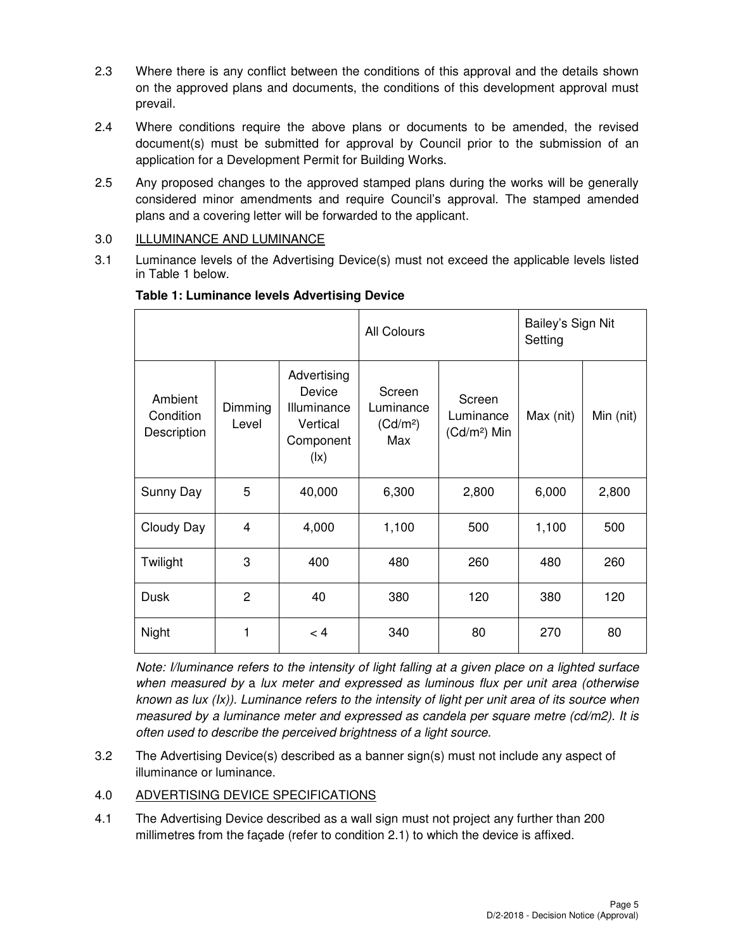- 2.3 Where there is any conflict between the conditions of this approval and the details shown on the approved plans and documents, the conditions of this development approval must prevail.
- 2.4 Where conditions require the above plans or documents to be amended, the revised document(s) must be submitted for approval by Council prior to the submission of an application for a Development Permit for Building Works.
- 2.5 Any proposed changes to the approved stamped plans during the works will be generally considered minor amendments and require Council's approval. The stamped amended plans and a covering letter will be forwarded to the applicant.
- 3.0 ILLUMINANCE AND LUMINANCE
- 3.1 Luminance levels of the Advertising Device(s) must not exceed the applicable levels listed in Table 1 below.

|                                     |                  |                                                                                           | <b>All Colours</b>                                 |                                      | Bailey's Sign Nit<br>Setting |           |
|-------------------------------------|------------------|-------------------------------------------------------------------------------------------|----------------------------------------------------|--------------------------------------|------------------------------|-----------|
| Ambient<br>Condition<br>Description | Dimming<br>Level | Advertising<br>Device<br>Illuminance<br>Vertical<br>Component<br>$(\mathsf{I}\mathsf{x})$ | Screen<br>Luminance<br>(Cd/m <sup>2</sup> )<br>Max | Screen<br>Luminance<br>$(Cd/m2)$ Min | Max (nit)                    | Min (nit) |
| Sunny Day                           | 5                | 40,000                                                                                    | 6,300                                              | 2,800                                | 6,000                        | 2,800     |
| Cloudy Day                          | 4                | 4,000                                                                                     | 1,100                                              | 500                                  | 1,100                        | 500       |
| Twilight                            | 3                | 400                                                                                       | 480                                                | 260                                  | 480                          | 260       |
| <b>Dusk</b>                         | 2                | 40                                                                                        | 380                                                | 120                                  | 380                          | 120       |
| Night                               | 1                | < 4                                                                                       | 340                                                | 80                                   | 270                          | 80        |

## **Table 1: Luminance levels Advertising Device**

known as lux (Ix)). Luminance refers to the intensity of light per unit area of its source when Note: I/luminance refers to the intensity of light falling at a given place on a lighted surface when measured by a lux meter and expressed as luminous flux per unit area (otherwise measured by a luminance meter and expressed as candela per square metre (cd/m2). It is often used to describe the perceived brightness of a light source.

3.2 The Advertising Device(s) described as a banner sign(s) must not include any aspect of illuminance or luminance.

## 4.0 ADVERTISING DEVICE SPECIFICATIONS

4.1 The Advertising Device described as a wall sign must not project any further than 200 millimetres from the façade (refer to condition 2.1) to which the device is affixed.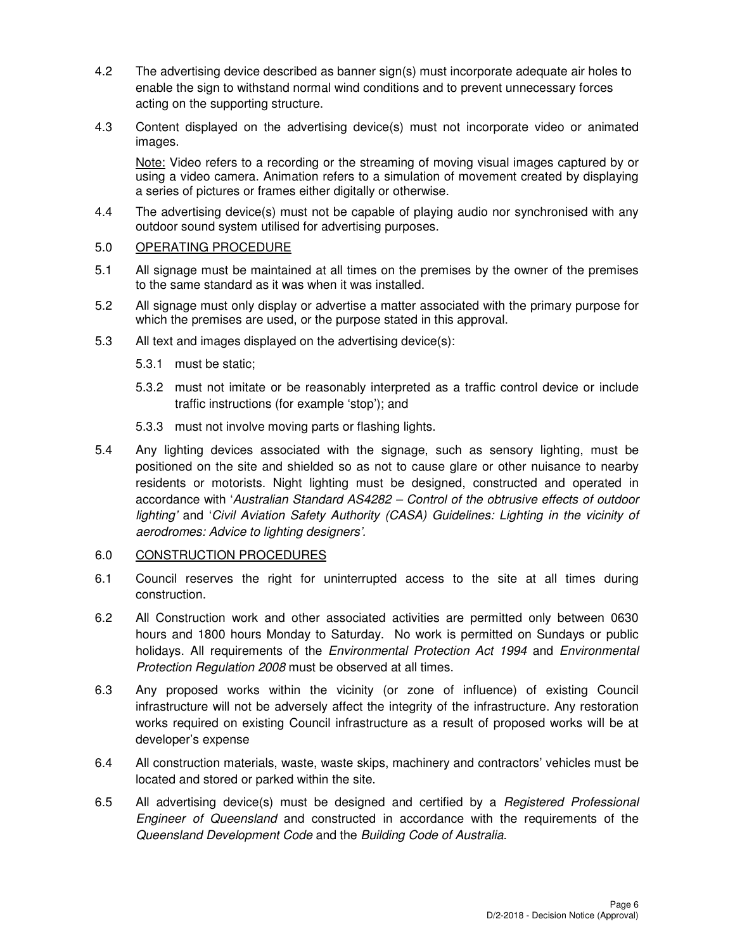- 4.2 The advertising device described as banner sign(s) must incorporate adequate air holes to enable the sign to withstand normal wind conditions and to prevent unnecessary forces acting on the supporting structure.
- 4.3 Content displayed on the advertising device(s) must not incorporate video or animated images.

Note: Video refers to a recording or the streaming of moving visual images captured by or using a video camera. Animation refers to a simulation of movement created by displaying a series of pictures or frames either digitally or otherwise.

4.4 The advertising device(s) must not be capable of playing audio nor synchronised with any outdoor sound system utilised for advertising purposes.

## 5.0 OPERATING PROCEDURE

- 5.1 All signage must be maintained at all times on the premises by the owner of the premises to the same standard as it was when it was installed.
- 5.2 All signage must only display or advertise a matter associated with the primary purpose for which the premises are used, or the purpose stated in this approval.
- 5.3 All text and images displayed on the advertising device(s):
	- 5.3.1 must be static;
	- 5.3.2 must not imitate or be reasonably interpreted as a traffic control device or include traffic instructions (for example 'stop'); and
	- 5.3.3 must not involve moving parts or flashing lights.
- 5.4 Any lighting devices associated with the signage, such as sensory lighting, must be positioned on the site and shielded so as not to cause glare or other nuisance to nearby residents or motorists. Night lighting must be designed, constructed and operated in accordance with 'Australian Standard AS4282 – Control of the obtrusive effects of outdoor lighting' and 'Civil Aviation Safety Authority (CASA) Guidelines: Lighting in the vicinity of aerodromes: Advice to lighting designers'.

## 6.0 CONSTRUCTION PROCEDURES

- 6.1 Council reserves the right for uninterrupted access to the site at all times during construction.
- 6.2 All Construction work and other associated activities are permitted only between 0630 hours and 1800 hours Monday to Saturday. No work is permitted on Sundays or public holidays. All requirements of the *Environmental Protection Act 1994* and *Environmental* Protection Regulation 2008 must be observed at all times.
- 6.3 Any proposed works within the vicinity (or zone of influence) of existing Council infrastructure will not be adversely affect the integrity of the infrastructure. Any restoration works required on existing Council infrastructure as a result of proposed works will be at developer's expense
- 6.4 All construction materials, waste, waste skips, machinery and contractors' vehicles must be located and stored or parked within the site.
- 6.5 All advertising device(s) must be designed and certified by a *Registered Professional* Engineer of Queensland and constructed in accordance with the requirements of the Queensland Development Code and the Building Code of Australia.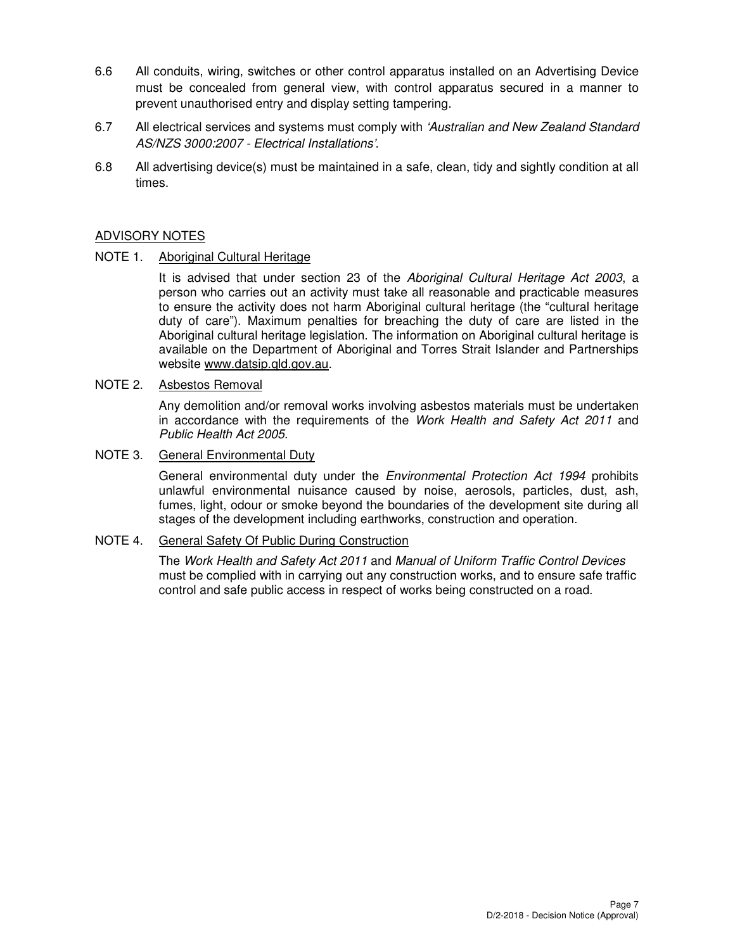- 6.6 All conduits, wiring, switches or other control apparatus installed on an Advertising Device must be concealed from general view, with control apparatus secured in a manner to prevent unauthorised entry and display setting tampering.
- 6.7 All electrical services and systems must comply with 'Australian and New Zealand Standard AS/NZS 3000:2007 - Electrical Installations'.
- 6.8 All advertising device(s) must be maintained in a safe, clean, tidy and sightly condition at all times.

## ADVISORY NOTES

NOTE 1. Aboriginal Cultural Heritage

It is advised that under section 23 of the Aboriginal Cultural Heritage Act 2003, a person who carries out an activity must take all reasonable and practicable measures to ensure the activity does not harm Aboriginal cultural heritage (the "cultural heritage duty of care"). Maximum penalties for breaching the duty of care are listed in the Aboriginal cultural heritage legislation. The information on Aboriginal cultural heritage is available on the Department of Aboriginal and Torres Strait Islander and Partnerships website www.datsip.qld.gov.au.

NOTE 2. Asbestos Removal

Any demolition and/or removal works involving asbestos materials must be undertaken in accordance with the requirements of the Work Health and Safety Act 2011 and Public Health Act 2005.

## NOTE 3. General Environmental Duty

General environmental duty under the *Environmental Protection Act 1994* prohibits unlawful environmental nuisance caused by noise, aerosols, particles, dust, ash, fumes, light, odour or smoke beyond the boundaries of the development site during all stages of the development including earthworks, construction and operation.

## NOTE 4. General Safety Of Public During Construction

The Work Health and Safety Act 2011 and Manual of Uniform Traffic Control Devices must be complied with in carrying out any construction works, and to ensure safe traffic control and safe public access in respect of works being constructed on a road.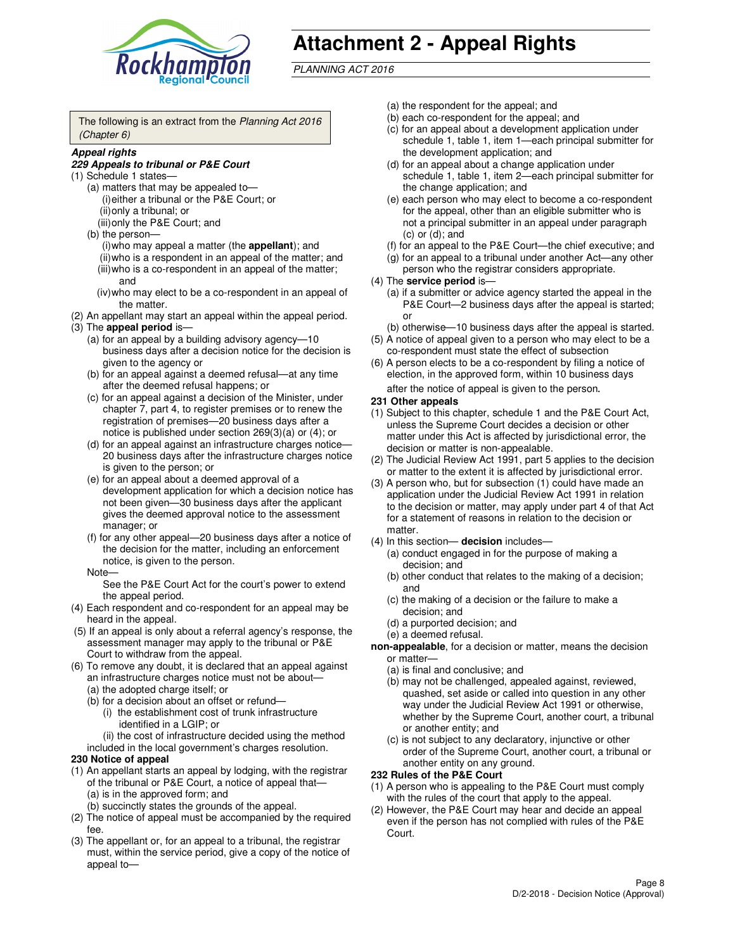

# **Attachment 2 - Appeal Rights**

PLANNING ACT 2016

The following is an extract from the Planning Act 2016 (Chapter 6)

#### **Appeal rights**

#### **229 Appeals to tribunal or P&E Court**

- (1) Schedule 1 states—
	- (a) matters that may be appealed to— (i) either a tribunal or the P&E Court; or (ii) only a tribunal; or (iii) only the P&E Court; and
	- (b) the person—
		- (i) who may appeal a matter (the **appellant**); and
		- (ii) who is a respondent in an appeal of the matter; and (iii) who is a co-respondent in an appeal of the matter; and
		- (iv) who may elect to be a co-respondent in an appeal of the matter.
- (2) An appellant may start an appeal within the appeal period.
- (3) The **appeal period** is—
	- (a) for an appeal by a building advisory agency—10 business days after a decision notice for the decision is given to the agency or
	- (b) for an appeal against a deemed refusal—at any time after the deemed refusal happens; or
	- (c) for an appeal against a decision of the Minister, under chapter 7, part 4, to register premises or to renew the registration of premises—20 business days after a notice is published under section 269(3)(a) or (4); or
	- (d) for an appeal against an infrastructure charges notice— 20 business days after the infrastructure charges notice is given to the person; or
	- (e) for an appeal about a deemed approval of a development application for which a decision notice has not been given—30 business days after the applicant gives the deemed approval notice to the assessment manager; or
	- (f) for any other appeal—20 business days after a notice of the decision for the matter, including an enforcement notice, is given to the person.
	- Note—

See the P&E Court Act for the court's power to extend the appeal period.

- (4) Each respondent and co-respondent for an appeal may be heard in the appeal.
- (5) If an appeal is only about a referral agency's response, the assessment manager may apply to the tribunal or P&E Court to withdraw from the appeal.
- (6) To remove any doubt, it is declared that an appeal against an infrastructure charges notice must not be about—
	- (a) the adopted charge itself; or
	- (b) for a decision about an offset or refund—
		- (i) the establishment cost of trunk infrastructure identified in a LGIP; or
		- (ii) the cost of infrastructure decided using the method
- included in the local government's charges resolution. **230 Notice of appeal**
- (1) An appellant starts an appeal by lodging, with the registrar of the tribunal or P&E Court, a notice of appeal that—
	- (a) is in the approved form; and
	- (b) succinctly states the grounds of the appeal.
- (2) The notice of appeal must be accompanied by the required fee.
- (3) The appellant or, for an appeal to a tribunal, the registrar must, within the service period, give a copy of the notice of appeal to—
- (a) the respondent for the appeal; and
- (b) each co-respondent for the appeal; and
- (c) for an appeal about a development application under schedule 1, table 1, item 1—each principal submitter for the development application; and
- (d) for an appeal about a change application under schedule 1, table 1, item 2—each principal submitter for the change application; and
- (e) each person who may elect to become a co-respondent for the appeal, other than an eligible submitter who is not a principal submitter in an appeal under paragraph  $(c)$  or  $(d)$ ; and
- (f) for an appeal to the P&E Court—the chief executive; and
- (g) for an appeal to a tribunal under another Act—any other person who the registrar considers appropriate.
- (4) The **service period** is—
	- (a) if a submitter or advice agency started the appeal in the P&E Court—2 business days after the appeal is started; or
	- (b) otherwise—10 business days after the appeal is started.
- (5) A notice of appeal given to a person who may elect to be a co-respondent must state the effect of subsection
- (6) A person elects to be a co-respondent by filing a notice of election, in the approved form, within 10 business days after the notice of appeal is given to the person*.*
- **231 Other appeals**
- (1) Subject to this chapter, schedule 1 and the P&E Court Act, unless the Supreme Court decides a decision or other matter under this Act is affected by jurisdictional error, the decision or matter is non-appealable.
- (2) The Judicial Review Act 1991, part 5 applies to the decision or matter to the extent it is affected by jurisdictional error.
- (3) A person who, but for subsection (1) could have made an application under the Judicial Review Act 1991 in relation to the decision or matter, may apply under part 4 of that Act for a statement of reasons in relation to the decision or matter.
- (4) In this section— **decision** includes—
	- (a) conduct engaged in for the purpose of making a decision; and
	- (b) other conduct that relates to the making of a decision; and
	- (c) the making of a decision or the failure to make a decision; and
	- (d) a purported decision; and
	- (e) a deemed refusal.

**non-appealable**, for a decision or matter, means the decision or matter—

- (a) is final and conclusive; and
- (b) may not be challenged, appealed against, reviewed, quashed, set aside or called into question in any other way under the Judicial Review Act 1991 or otherwise, whether by the Supreme Court, another court, a tribunal or another entity; and
- (c) is not subject to any declaratory, injunctive or other order of the Supreme Court, another court, a tribunal or another entity on any ground.

#### **232 Rules of the P&E Court**

- (1) A person who is appealing to the P&E Court must comply with the rules of the court that apply to the appeal.
- (2) However, the P&E Court may hear and decide an appeal even if the person has not complied with rules of the P&E Court.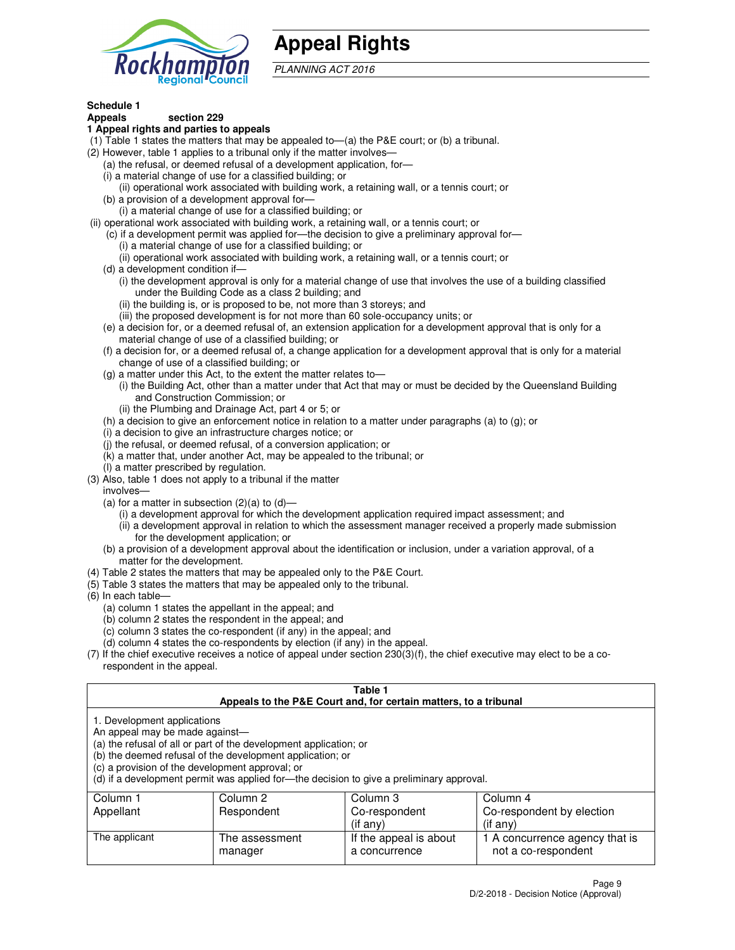

## **Appeal Rights**

PLANNING ACT 2016

## **Schedule 1**

## **Appeals section 229**

### **1 Appeal rights and parties to appeals**

- (1) Table 1 states the matters that may be appealed to—(a) the P&E court; or (b) a tribunal.
- (2) However, table 1 applies to a tribunal only if the matter involves—
	- (a) the refusal, or deemed refusal of a development application, for—
	- (i) a material change of use for a classified building; or
	- (ii) operational work associated with building work, a retaining wall, or a tennis court; or
	- (b) a provision of a development approval for—
	- (i) a material change of use for a classified building; or
- (ii) operational work associated with building work, a retaining wall, or a tennis court; or
	- (c) if a development permit was applied for—the decision to give a preliminary approval for—
		- (i) a material change of use for a classified building; or
		- (ii) operational work associated with building work, a retaining wall, or a tennis court; or
	- (d) a development condition if—
		- (i) the development approval is only for a material change of use that involves the use of a building classified under the Building Code as a class 2 building; and
		- (ii) the building is, or is proposed to be, not more than 3 storeys; and
		- (iii) the proposed development is for not more than 60 sole-occupancy units; or
	- (e) a decision for, or a deemed refusal of, an extension application for a development approval that is only for a material change of use of a classified building; or
	- (f) a decision for, or a deemed refusal of, a change application for a development approval that is only for a material change of use of a classified building; or
	- (g) a matter under this Act, to the extent the matter relates to—
		- (i) the Building Act, other than a matter under that Act that may or must be decided by the Queensland Building and Construction Commission; or
		- (ii) the Plumbing and Drainage Act, part 4 or 5; or
	- (h) a decision to give an enforcement notice in relation to a matter under paragraphs (a) to (g); or
	- (i) a decision to give an infrastructure charges notice; or
	- (j) the refusal, or deemed refusal, of a conversion application; or
	- (k) a matter that, under another Act, may be appealed to the tribunal; or
	- (l) a matter prescribed by regulation.
- (3) Also, table 1 does not apply to a tribunal if the matter
	- involves—
	- (a) for a matter in subsection  $(2)(a)$  to  $(d)$ 
		- (i) a development approval for which the development application required impact assessment; and
		- (ii) a development approval in relation to which the assessment manager received a properly made submission for the development application; or
	- (b) a provision of a development approval about the identification or inclusion, under a variation approval, of a matter for the development.
- (4) Table 2 states the matters that may be appealed only to the P&E Court.
- (5) Table 3 states the matters that may be appealed only to the tribunal.
- (6) In each table—
	- (a) column 1 states the appellant in the appeal; and
	- (b) column 2 states the respondent in the appeal; and
	- (c) column 3 states the co-respondent (if any) in the appeal; and
	- (d) column 4 states the co-respondents by election (if any) in the appeal.
- $(7)$  If the chief executive receives a notice of appeal under section  $230(3)(f)$ , the chief executive may elect to be a corespondent in the appeal.

| Table 1<br>Appeals to the P&E Court and, for certain matters, to a tribunal                                      |                                                                                                                                |                                                                                          |                                                       |  |  |  |
|------------------------------------------------------------------------------------------------------------------|--------------------------------------------------------------------------------------------------------------------------------|------------------------------------------------------------------------------------------|-------------------------------------------------------|--|--|--|
| 1. Development applications<br>An appeal may be made against-<br>(c) a provision of the development approval; or | (a) the refusal of all or part of the development application; or<br>(b) the deemed refusal of the development application; or | (d) if a development permit was applied for-the decision to give a preliminary approval. |                                                       |  |  |  |
| Column 1                                                                                                         | Column 2                                                                                                                       | Column 3                                                                                 | Column 4                                              |  |  |  |
| Appellant                                                                                                        | Co-respondent<br>Co-respondent by election<br>Respondent                                                                       |                                                                                          |                                                       |  |  |  |
| (if any)<br>$($ if any $)$                                                                                       |                                                                                                                                |                                                                                          |                                                       |  |  |  |
| The applicant                                                                                                    | The assessment<br>manager                                                                                                      | If the appeal is about<br>a concurrence                                                  | 1 A concurrence agency that is<br>not a co-respondent |  |  |  |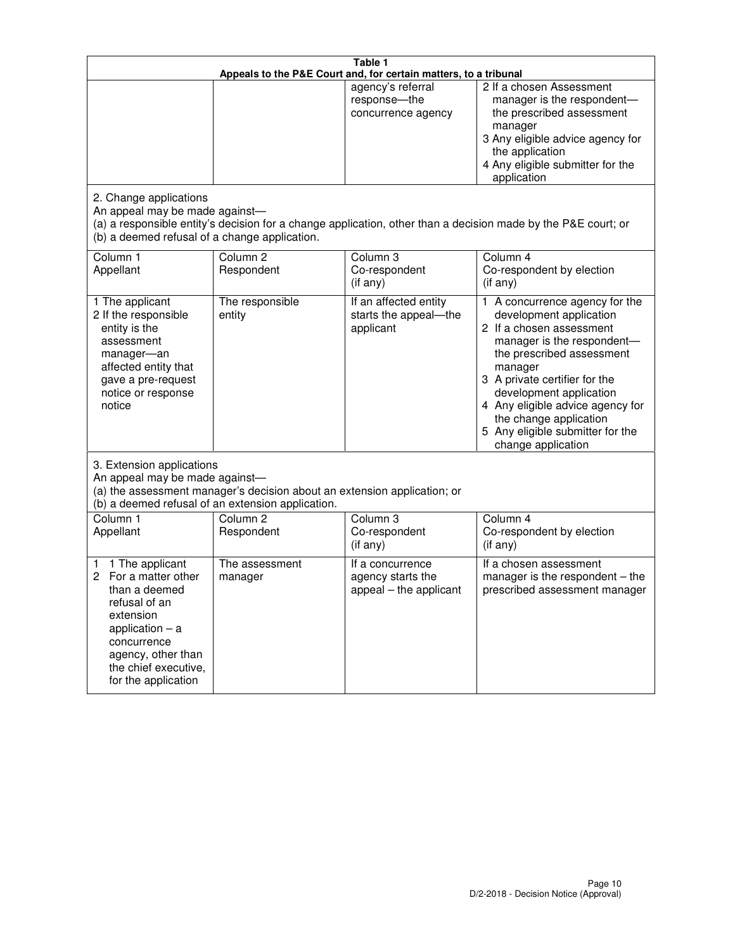| Table 1<br>Appeals to the P&E Court and, for certain matters, to a tribunal                                                                                                                             |                                   |                                                                 |                                                                                                                                                                                                                                                                                                                                                 |  |
|---------------------------------------------------------------------------------------------------------------------------------------------------------------------------------------------------------|-----------------------------------|-----------------------------------------------------------------|-------------------------------------------------------------------------------------------------------------------------------------------------------------------------------------------------------------------------------------------------------------------------------------------------------------------------------------------------|--|
|                                                                                                                                                                                                         |                                   | agency's referral<br>response-the<br>concurrence agency         | 2 If a chosen Assessment<br>manager is the respondent-<br>the prescribed assessment<br>manager<br>3 Any eligible advice agency for<br>the application<br>4 Any eligible submitter for the<br>application                                                                                                                                        |  |
| 2. Change applications<br>An appeal may be made against-<br>(b) a deemed refusal of a change application.                                                                                               |                                   |                                                                 | (a) a responsible entity's decision for a change application, other than a decision made by the P&E court; or                                                                                                                                                                                                                                   |  |
| Column 1<br>Appellant                                                                                                                                                                                   | Column <sub>2</sub><br>Respondent | Column <sub>3</sub><br>Co-respondent<br>(if any)                | Column 4<br>Co-respondent by election<br>(if any)                                                                                                                                                                                                                                                                                               |  |
| 1 The applicant<br>2 If the responsible<br>entity is the<br>assessment<br>manager-an<br>affected entity that<br>gave a pre-request<br>notice or response<br>notice                                      | The responsible<br>entity         | If an affected entity<br>starts the appeal-the<br>applicant     | 1 A concurrence agency for the<br>development application<br>2 If a chosen assessment<br>manager is the respondent-<br>the prescribed assessment<br>manager<br>3 A private certifier for the<br>development application<br>4 Any eligible advice agency for<br>the change application<br>5 Any eligible submitter for the<br>change application |  |
| 3. Extension applications<br>An appeal may be made against-<br>(a) the assessment manager's decision about an extension application; or<br>(b) a deemed refusal of an extension application.            |                                   |                                                                 |                                                                                                                                                                                                                                                                                                                                                 |  |
| Column 1<br>Appellant                                                                                                                                                                                   | Column <sub>2</sub><br>Respondent | Column <sub>3</sub><br>Co-respondent<br>(if any)                | Column 4<br>Co-respondent by election<br>(if any)                                                                                                                                                                                                                                                                                               |  |
| 1 The applicant<br>1<br>For a matter other<br>2<br>than a deemed<br>refusal of an<br>extension<br>application $-$ a<br>concurrence<br>agency, other than<br>the chief executive,<br>for the application | The assessment<br>manager         | If a concurrence<br>agency starts the<br>appeal - the applicant | If a chosen assessment<br>manager is the respondent $-$ the<br>prescribed assessment manager                                                                                                                                                                                                                                                    |  |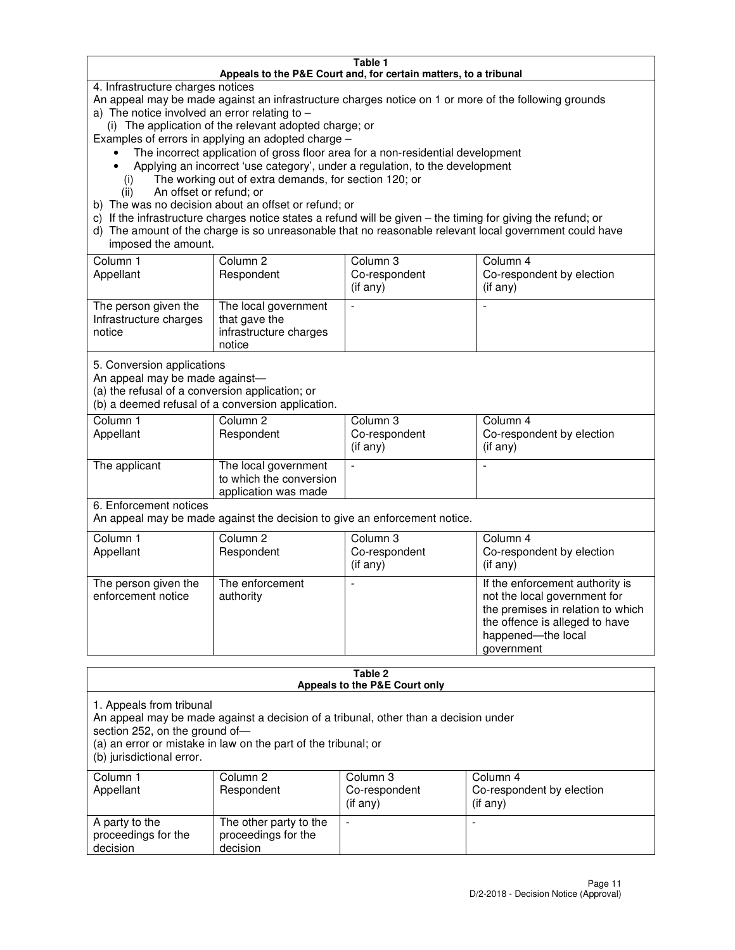#### **Table 1 Appeals to the P&E Court and, for certain matters, to a tribunal**

4. Infrastructure charges notices

An appeal may be made against an infrastructure charges notice on 1 or more of the following grounds

- a) The notice involved an error relating to
	- (i) The application of the relevant adopted charge; or
- Examples of errors in applying an adopted charge
	- The incorrect application of gross floor area for a non-residential development
	- Applying an incorrect 'use category', under a regulation, to the development
		- (i) The working out of extra demands, for section 120; or
		- (ii) An offset or refund; or
- b) The was no decision about an offset or refund; or
- c) If the infrastructure charges notice states a refund will be given the timing for giving the refund; or
- d) The amount of the charge is so unreasonable that no reasonable relevant local government could have imposed the amount.

| Column 1<br>Appellant                                    | Column 2<br>Respondent                                                    | Column 3<br>Co-respondent<br>$($ if any $)$ | Column 4<br>Co-respondent by election<br>$($ if any $)$ |
|----------------------------------------------------------|---------------------------------------------------------------------------|---------------------------------------------|---------------------------------------------------------|
| The person given the<br>Infrastructure charges<br>notice | The local government<br>that gave the<br>infrastructure charges<br>notice |                                             |                                                         |

5. Conversion applications

An appeal may be made against—

(a) the refusal of a conversion application; or

(b) a deemed refusal of a conversion application.

| Column 1<br>Appellant | Column 2<br>Respondent                                                  | Column 3<br>Co-respondent<br>$($ if any $)$ | Column 4<br>Co-respondent by election<br>$($ if any $)$ |
|-----------------------|-------------------------------------------------------------------------|---------------------------------------------|---------------------------------------------------------|
| The applicant         | The local government<br>to which the conversion<br>application was made |                                             |                                                         |

6. Enforcement notices

An appeal may be made against the decision to give an enforcement notice.

| Column 1<br>Appellant                      | Column 2<br>Respondent       | Column 3<br>Co-respondent<br>$($ if any $)$ | Column 4<br>Co-respondent by election<br>(if any)                                                                                                                          |
|--------------------------------------------|------------------------------|---------------------------------------------|----------------------------------------------------------------------------------------------------------------------------------------------------------------------------|
| The person given the<br>enforcement notice | The enforcement<br>authority |                                             | If the enforcement authority is<br>not the local government for<br>the premises in relation to which<br>the offence is alleged to have<br>happened-the local<br>government |

#### **Table 2 Appeals to the P&E Court only**

1. Appeals from tribunal

An appeal may be made against a decision of a tribunal, other than a decision under

section 252, on the ground of—

(a) an error or mistake in law on the part of the tribunal; or

(b) jurisdictional error.

| Column 1<br>Appellant                             | Column 2<br>Respondent                                    | Column 3<br>Co-respondent<br>$($ if any $)$ | Column 4<br>Co-respondent by election<br>(i f any) |
|---------------------------------------------------|-----------------------------------------------------------|---------------------------------------------|----------------------------------------------------|
| A party to the<br>proceedings for the<br>decision | The other party to the<br>proceedings for the<br>decision | -                                           |                                                    |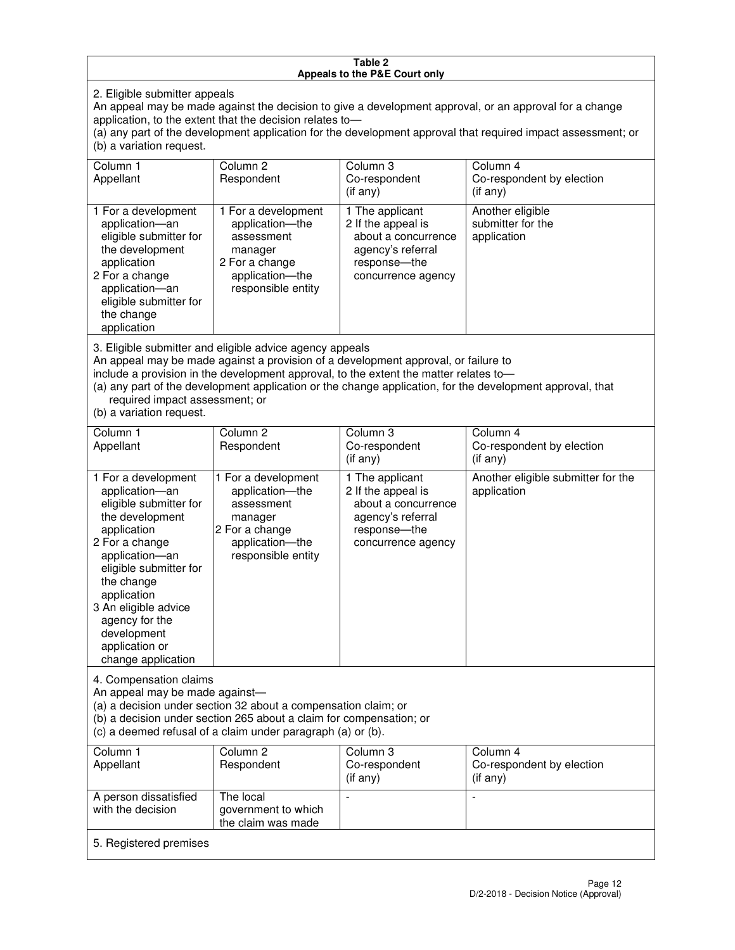#### **Table 2 Appeals to the P&E Court only**

2. Eligible submitter appeals

An appeal may be made against the decision to give a development approval, or an approval for a change application, to the extent that the decision relates to—

(a) any part of the development application for the development approval that required impact assessment; or (b) a variation request.

| Column 1<br>Appellant                                                                                                                                                                                                                                                                                                                                                                                              | Column <sub>2</sub><br>Respondent                                                                                          | Column 3<br>Co-respondent<br>(if any)                                                                                     | Column 4<br>Co-respondent by election<br>(i f any)           |
|--------------------------------------------------------------------------------------------------------------------------------------------------------------------------------------------------------------------------------------------------------------------------------------------------------------------------------------------------------------------------------------------------------------------|----------------------------------------------------------------------------------------------------------------------------|---------------------------------------------------------------------------------------------------------------------------|--------------------------------------------------------------|
| 1 For a development<br>application-an<br>eligible submitter for<br>the development<br>application<br>2 For a change<br>application-an<br>eligible submitter for<br>the change<br>application                                                                                                                                                                                                                       | 1 For a development<br>application-the<br>assessment<br>manager<br>2 For a change<br>application-the<br>responsible entity | 1 The applicant<br>2 If the appeal is<br>about a concurrence<br>agency's referral<br>response---the<br>concurrence agency | Another eligible<br>submitter for the<br>application         |
| 3. Eligible submitter and eligible advice agency appeals<br>An appeal may be made against a provision of a development approval, or failure to<br>include a provision in the development approval, to the extent the matter relates to-<br>(a) any part of the development application or the change application, for the development approval, that<br>required impact assessment; or<br>(b) a variation request. |                                                                                                                            |                                                                                                                           |                                                              |
| Column 1<br>Appellant                                                                                                                                                                                                                                                                                                                                                                                              | Column <sub>2</sub><br>Respondent                                                                                          | Column 3<br>Co-respondent<br>(if any)                                                                                     | Column <sub>4</sub><br>Co-respondent by election<br>(if any) |
| 1 For a development<br>application-an<br>eligible submitter for<br>the development                                                                                                                                                                                                                                                                                                                                 | 1 For a development<br>application-the<br>assessment<br>manager                                                            | 1 The applicant<br>2 If the appeal is<br>about a concurrence<br>agency's referral                                         | Another eligible submitter for the<br>application            |

response—the concurrence agency

change application 4. Compensation claims

application 2 For a change application—an eligible submitter for

the change application 3 An eligible advice agency for the development application or

An appeal may be made against—

(a) a decision under section 32 about a compensation claim; or

2 For a change application—the responsible entity

(b) a decision under section 265 about a claim for compensation; or

(c) a deemed refusal of a claim under paragraph (a) or (b).

| Column 1<br>Appellant                      | Column 2<br>Respondent                                 | Column 3<br>Co-respondent<br>$(if$ any) | Column 4<br>Co-respondent by election<br>(if any) |
|--------------------------------------------|--------------------------------------------------------|-----------------------------------------|---------------------------------------------------|
| A person dissatisfied<br>with the decision | The local<br>government to which<br>the claim was made | -                                       |                                                   |
| 5. Registered premises                     |                                                        |                                         |                                                   |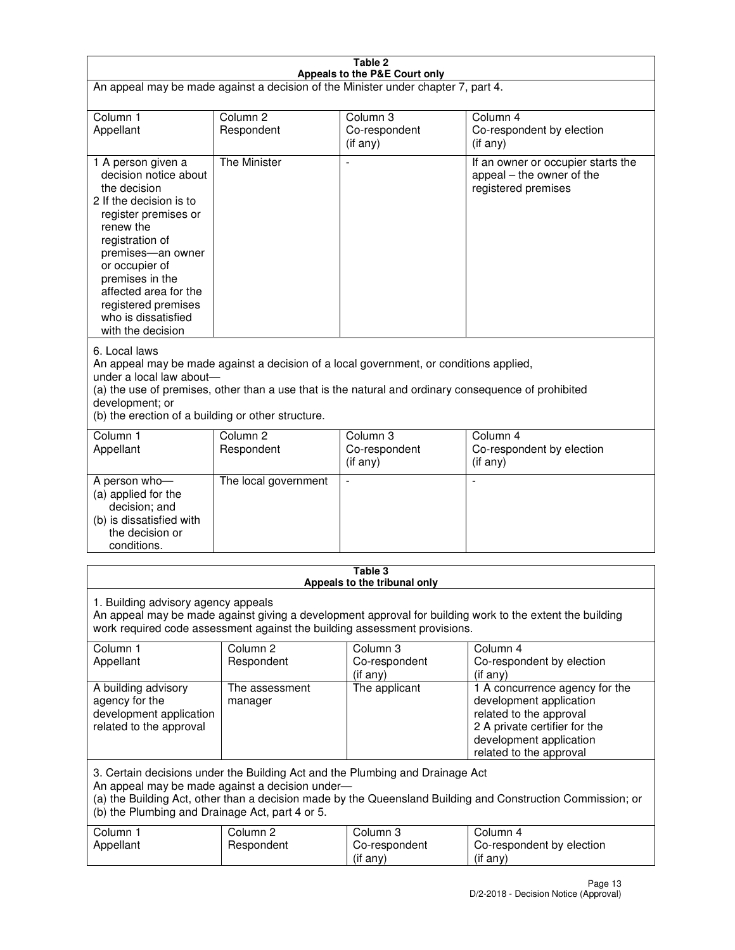| Table 2<br>Appeals to the P&E Court only                                                                                                                                                                                                                                                                                |                                   |                                       |                                                                                                                                                                             |  |
|-------------------------------------------------------------------------------------------------------------------------------------------------------------------------------------------------------------------------------------------------------------------------------------------------------------------------|-----------------------------------|---------------------------------------|-----------------------------------------------------------------------------------------------------------------------------------------------------------------------------|--|
| An appeal may be made against a decision of the Minister under chapter 7, part 4.                                                                                                                                                                                                                                       |                                   |                                       |                                                                                                                                                                             |  |
|                                                                                                                                                                                                                                                                                                                         |                                   |                                       |                                                                                                                                                                             |  |
| Column 1<br>Appellant                                                                                                                                                                                                                                                                                                   | Column <sub>2</sub><br>Respondent | Column <sub>3</sub><br>Co-respondent  | Column <sub>4</sub><br>Co-respondent by election                                                                                                                            |  |
|                                                                                                                                                                                                                                                                                                                         |                                   | (if any)                              | (if any)                                                                                                                                                                    |  |
| 1 A person given a<br>decision notice about<br>the decision<br>2 If the decision is to<br>register premises or<br>renew the<br>registration of<br>premises-an owner<br>or occupier of<br>premises in the<br>affected area for the<br>registered premises<br>who is dissatisfied<br>with the decision                    | <b>The Minister</b>               |                                       | If an owner or occupier starts the<br>appeal – the owner of the<br>registered premises                                                                                      |  |
| 6. Local laws<br>An appeal may be made against a decision of a local government, or conditions applied,<br>under a local law about-<br>(a) the use of premises, other than a use that is the natural and ordinary consequence of prohibited<br>development; or<br>(b) the erection of a building or other structure.    |                                   |                                       |                                                                                                                                                                             |  |
| Column 1                                                                                                                                                                                                                                                                                                                | Column <sub>2</sub>               | Column 3                              | Column $\overline{4}$                                                                                                                                                       |  |
| Appellant                                                                                                                                                                                                                                                                                                               | Respondent                        | Co-respondent<br>(if any)             | Co-respondent by election<br>(if any)                                                                                                                                       |  |
| A person who-<br>(a) applied for the<br>decision; and<br>(b) is dissatisfied with<br>the decision or<br>conditions.                                                                                                                                                                                                     | The local government              |                                       |                                                                                                                                                                             |  |
| Table 3                                                                                                                                                                                                                                                                                                                 |                                   |                                       |                                                                                                                                                                             |  |
| Appeals to the tribunal only<br>1. Building advisory agency appeals<br>An appeal may be made against giving a development approval for building work to the extent the building<br>work required code assessment against the building assessment provisions.<br>Column 1<br>Column <sub>2</sub><br>Column 3<br>Column 4 |                                   |                                       |                                                                                                                                                                             |  |
| Appellant                                                                                                                                                                                                                                                                                                               | Respondent                        | Co-respondent<br>(if any)             | Co-respondent by election<br>(if any)                                                                                                                                       |  |
| A building advisory<br>agency for the<br>development application<br>related to the approval                                                                                                                                                                                                                             | The assessment<br>manager         | The applicant                         | 1 A concurrence agency for the<br>development application<br>related to the approval<br>2 A private certifier for the<br>development application<br>related to the approval |  |
| 3. Certain decisions under the Building Act and the Plumbing and Drainage Act<br>An appeal may be made against a decision under-<br>(a) the Building Act, other than a decision made by the Queensland Building and Construction Commission; or<br>(b) the Plumbing and Drainage Act, part 4 or 5.                      |                                   |                                       |                                                                                                                                                                             |  |
| Column 1<br>Appellant                                                                                                                                                                                                                                                                                                   | Column <sub>2</sub><br>Respondent | Column 3<br>Co-respondent<br>(if any) | Column 4<br>Co-respondent by election<br>(if any)                                                                                                                           |  |